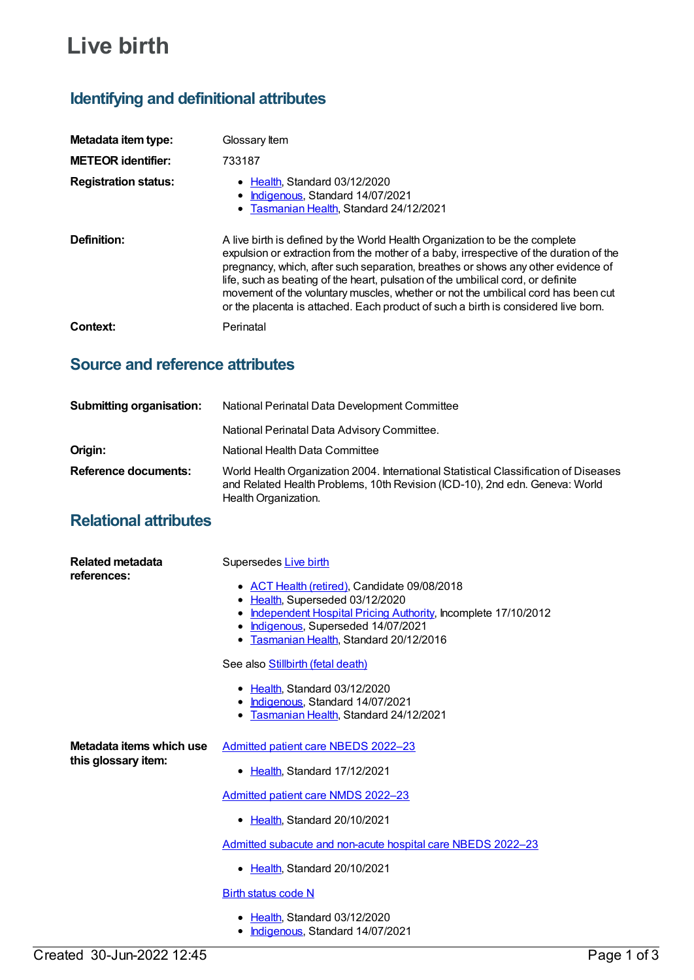# **Live birth**

## **Identifying and definitional attributes**

| Metadata item type:         | Glossary Item                                                                                                                                                                                                                                                                                                                                                                                                                                                                                                            |
|-----------------------------|--------------------------------------------------------------------------------------------------------------------------------------------------------------------------------------------------------------------------------------------------------------------------------------------------------------------------------------------------------------------------------------------------------------------------------------------------------------------------------------------------------------------------|
| <b>METEOR identifier:</b>   | 733187                                                                                                                                                                                                                                                                                                                                                                                                                                                                                                                   |
| <b>Registration status:</b> | • Health Standard 03/12/2020<br>• Indigenous, Standard 14/07/2021<br>• Tasmanian Health, Standard 24/12/2021                                                                                                                                                                                                                                                                                                                                                                                                             |
| Definition:                 | A live birth is defined by the World Health Organization to be the complete<br>expulsion or extraction from the mother of a baby, irrespective of the duration of the<br>pregnancy, which, after such separation, breathes or shows any other evidence of<br>life, such as beating of the heart, pulsation of the umbilical cord, or definite<br>movement of the voluntary muscles, whether or not the umbilical cord has been cut<br>or the placenta is attached. Each product of such a birth is considered live born. |
| Context:                    | Perinatal                                                                                                                                                                                                                                                                                                                                                                                                                                                                                                                |

### **Source and reference attributes**

| <b>Submitting organisation:</b> | National Perinatal Data Development Committee                                                                                                                                               |
|---------------------------------|---------------------------------------------------------------------------------------------------------------------------------------------------------------------------------------------|
|                                 | National Perinatal Data Advisory Committee.                                                                                                                                                 |
| Origin:                         | National Health Data Committee                                                                                                                                                              |
| <b>Reference documents:</b>     | World Health Organization 2004. International Statistical Classification of Diseases<br>and Related Health Problems, 10th Revision (ICD-10), 2nd edn. Geneva: World<br>Health Organization. |

### **Relational attributes**

| Related metadata<br>references:                 | Supersedes Live birth                                                                                                                                                                                                                          |
|-------------------------------------------------|------------------------------------------------------------------------------------------------------------------------------------------------------------------------------------------------------------------------------------------------|
|                                                 | • ACT Health (retired), Candidate 09/08/2018<br>Health, Superseded 03/12/2020<br>$\bullet$<br>Independent Hospital Pricing Authority, Incomplete 17/10/2012<br>Indigenous, Superseded 14/07/2021<br>٠<br>Tasmanian Health, Standard 20/12/2016 |
|                                                 | See also Stillbirth (fetal death)                                                                                                                                                                                                              |
|                                                 | • Health, Standard 03/12/2020<br><b>Indigenous, Standard 14/07/2021</b><br>٠<br>Tasmanian Health, Standard 24/12/2021<br>٠                                                                                                                     |
| Metadata items which use<br>this glossary item: | Admitted patient care NBEDS 2022-23                                                                                                                                                                                                            |
|                                                 | Health, Standard 17/12/2021<br>$\bullet$                                                                                                                                                                                                       |
|                                                 | Admitted patient care NMDS 2022-23                                                                                                                                                                                                             |
|                                                 | • Health, Standard 20/10/2021                                                                                                                                                                                                                  |
|                                                 | Admitted subacute and non-acute hospital care NBEDS 2022-23                                                                                                                                                                                    |
|                                                 | • Health, Standard 20/10/2021                                                                                                                                                                                                                  |
|                                                 | <b>Birth status code N</b>                                                                                                                                                                                                                     |
|                                                 | Health, Standard 03/12/2020<br>Indigenous, Standard 14/07/2021<br>٠                                                                                                                                                                            |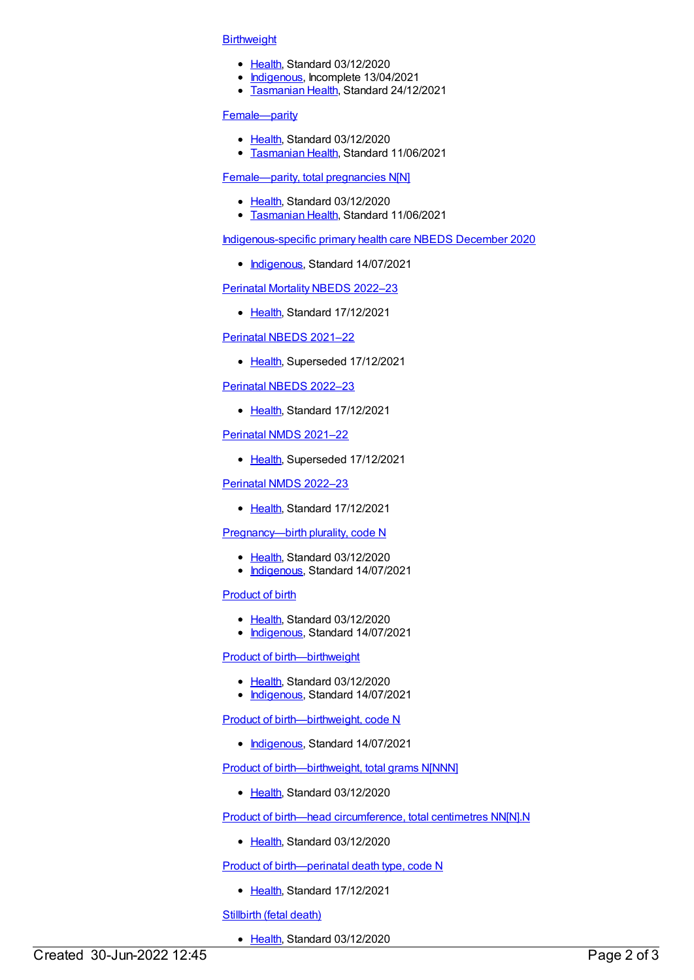#### **[Birthweight](https://meteor.aihw.gov.au/content/733258)**

- [Health](https://meteor.aihw.gov.au/RegistrationAuthority/12), Standard 03/12/2020
- [Indigenous](https://meteor.aihw.gov.au/RegistrationAuthority/6), Incomplete 13/04/2021
- **[Tasmanian](https://meteor.aihw.gov.au/RegistrationAuthority/15) Health, Standard 24/12/2021**

#### [Female—parity](https://meteor.aihw.gov.au/content/733284)

- [Health](https://meteor.aihw.gov.au/RegistrationAuthority/12), Standard 03/12/2020
- **[Tasmanian](https://meteor.aihw.gov.au/RegistrationAuthority/15) Health, Standard 11/06/2021**

#### [Female—parity,](https://meteor.aihw.gov.au/content/733287) total pregnancies N[N]

- [Health](https://meteor.aihw.gov.au/RegistrationAuthority/12), Standard 03/12/2020
- [Tasmanian](https://meteor.aihw.gov.au/RegistrationAuthority/15) Health, Standard 11/06/2021

[Indigenous-specific](https://meteor.aihw.gov.au/content/738532) primary health care NBEDS December 2020

• [Indigenous](https://meteor.aihw.gov.au/RegistrationAuthority/6), Standard 14/07/2021

[Perinatal](https://meteor.aihw.gov.au/content/750304) Mortality NBEDS 2022–23

• [Health](https://meteor.aihw.gov.au/RegistrationAuthority/12), Standard 17/12/2021

[Perinatal](https://meteor.aihw.gov.au/content/727295) NBEDS 2021–22

• [Health](https://meteor.aihw.gov.au/RegistrationAuthority/12), Superseded 17/12/2021

[Perinatal](https://meteor.aihw.gov.au/content/742055) NBEDS 2022–23

• [Health](https://meteor.aihw.gov.au/RegistrationAuthority/12), Standard 17/12/2021

[Perinatal](https://meteor.aihw.gov.au/content/727291) NMDS 2021–22

• [Health](https://meteor.aihw.gov.au/RegistrationAuthority/12), Superseded 17/12/2021

[Perinatal](https://meteor.aihw.gov.au/content/742052) NMDS 2022–23

• [Health](https://meteor.aihw.gov.au/RegistrationAuthority/12), Standard 17/12/2021

#### [Pregnancy—birth](https://meteor.aihw.gov.au/content/732874) plurality, code N

- [Health](https://meteor.aihw.gov.au/RegistrationAuthority/12), Standard 03/12/2020
- [Indigenous](https://meteor.aihw.gov.au/RegistrationAuthority/6), Standard 14/07/2021

#### [Product](https://meteor.aihw.gov.au/content/733312) of birth

- [Health](https://meteor.aihw.gov.au/RegistrationAuthority/12), Standard 03/12/2020
- [Indigenous](https://meteor.aihw.gov.au/RegistrationAuthority/6), Standard 14/07/2021

#### Product of [birth—birthweight](https://meteor.aihw.gov.au/content/733408)

- [Health](https://meteor.aihw.gov.au/RegistrationAuthority/12), Standard 03/12/2020
- [Indigenous](https://meteor.aihw.gov.au/RegistrationAuthority/6), Standard 14/07/2021

Product of [birth—birthweight,](https://meteor.aihw.gov.au/content/742849) code N

• [Indigenous](https://meteor.aihw.gov.au/RegistrationAuthority/6), Standard 14/07/2021

Product of [birth—birthweight,](https://meteor.aihw.gov.au/content/733280) total grams N[NNN]

• [Health](https://meteor.aihw.gov.au/RegistrationAuthority/12), Standard 03/12/2020

Product of birth—head [circumference,](https://meteor.aihw.gov.au/content/733429) total centimetres NN[N].N

• [Health](https://meteor.aihw.gov.au/RegistrationAuthority/12), Standard 03/12/2020

Product of [birth—perinatal](https://meteor.aihw.gov.au/content/716377) death type, code N

• [Health](https://meteor.aihw.gov.au/RegistrationAuthority/12), Standard 17/12/2021

[Stillbirth](https://meteor.aihw.gov.au/content/733271) (fetal death)

• [Health](https://meteor.aihw.gov.au/RegistrationAuthority/12), Standard 03/12/2020